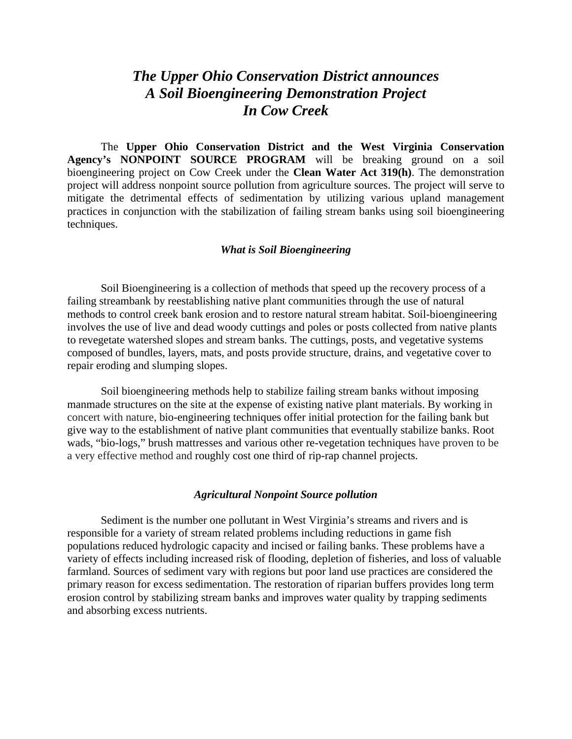## *The Upper Ohio Conservation District announces A Soil Bioengineering Demonstration Project In Cow Creek*

The **Upper Ohio Conservation District and the West Virginia Conservation Agency's NONPOINT SOURCE PROGRAM** will be breaking ground on a soil bioengineering project on Cow Creek under the **Clean Water Act 319(h)**. The demonstration project will address nonpoint source pollution from agriculture sources. The project will serve to mitigate the detrimental effects of sedimentation by utilizing various upland management practices in conjunction with the stabilization of failing stream banks using soil bioengineering techniques.

## *What is Soil Bioengineering*

Soil Bioengineering is a collection of methods that speed up the recovery process of a failing streambank by reestablishing native plant communities through the use of natural methods to control creek bank erosion and to restore natural stream habitat. Soil-bioengineering involves the use of live and dead woody cuttings and poles or posts collected from native plants to revegetate watershed slopes and stream banks. The cuttings, posts, and vegetative systems composed of bundles, layers, mats, and posts provide structure, drains, and vegetative cover to repair eroding and slumping slopes.

Soil bioengineering methods help to stabilize failing stream banks without imposing manmade structures on the site at the expense of existing native plant materials. By working in concert with nature, bio-engineering techniques offer initial protection for the failing bank but give way to the establishment of native plant communities that eventually stabilize banks. Root wads, "bio-logs," brush mattresses and various other re-vegetation techniques have proven to be a very effective method and roughly cost one third of rip-rap channel projects.

## *Agricultural Nonpoint Source pollution*

Sediment is the number one pollutant in West Virginia's streams and rivers and is responsible for a variety of stream related problems including reductions in game fish populations reduced hydrologic capacity and incised or failing banks. These problems have a variety of effects including increased risk of flooding, depletion of fisheries, and loss of valuable farmland. Sources of sediment vary with regions but poor land use practices are considered the primary reason for excess sedimentation. The restoration of riparian buffers provides long term erosion control by stabilizing stream banks and improves water quality by trapping sediments and absorbing excess nutrients.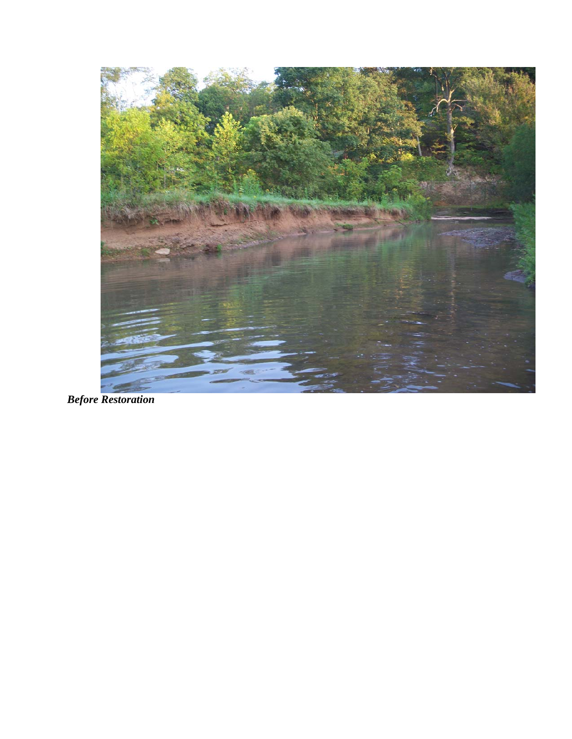

*Before Restoration*